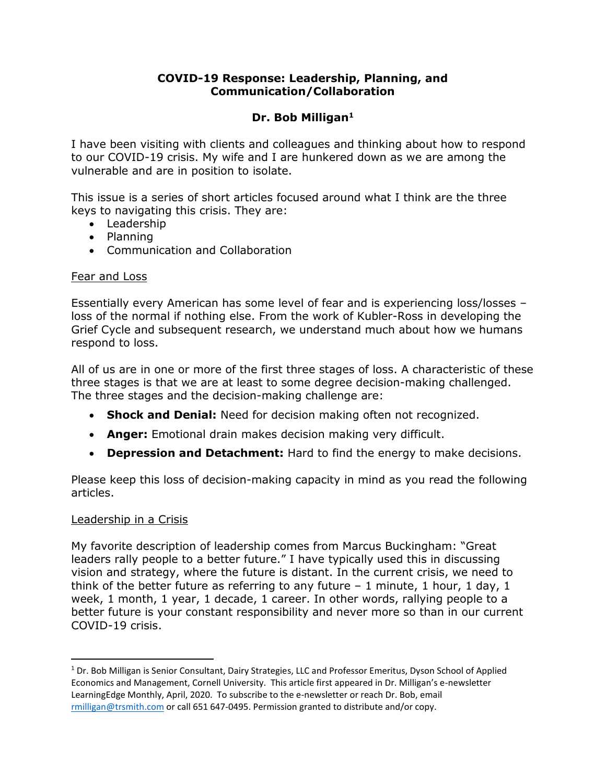# **COVID-19 Response: Leadership, Planning, and Communication/Collaboration**

# **Dr. Bob Milligan<sup>1</sup>**

I have been visiting with clients and colleagues and thinking about how to respond to our COVID-19 crisis. My wife and I are hunkered down as we are among the vulnerable and are in position to isolate.

This issue is a series of short articles focused around what I think are the three keys to navigating this crisis. They are:

- Leadership
- Planning
- Communication and Collaboration

## Fear and Loss

Essentially every American has some level of fear and is experiencing loss/losses – loss of the normal if nothing else. From the work of Kubler-Ross in developing the Grief Cycle and subsequent research, we understand much about how we humans respond to loss.

All of us are in one or more of the first three stages of loss. A characteristic of these three stages is that we are at least to some degree decision-making challenged. The three stages and the decision-making challenge are:

- **Shock and Denial:** Need for decision making often not recognized.
- **Anger:** Emotional drain makes decision making very difficult.
- **Depression and Detachment:** Hard to find the energy to make decisions.

Please keep this loss of decision-making capacity in mind as you read the following articles.

## Leadership in a Crisis

l

My favorite description of leadership comes from Marcus Buckingham: "Great leaders rally people to a better future." I have typically used this in discussing vision and strategy, where the future is distant. In the current crisis, we need to think of the better future as referring to any future  $-1$  minute, 1 hour, 1 day, 1 week, 1 month, 1 year, 1 decade, 1 career. In other words, rallying people to a better future is your constant responsibility and never more so than in our current COVID-19 crisis.

<sup>&</sup>lt;sup>1</sup> Dr. Bob Milligan is Senior Consultant, Dairy Strategies, LLC and Professor Emeritus, Dyson School of Applied Economics and Management, Cornell University. This article first appeared in Dr. Milligan's e-newsletter LearningEdge Monthly, April, 2020. To subscribe to the e-newsletter or reach Dr. Bob, email [rmilligan@trsmith.com](mailto:rmilligan@trsmith.com) or call 651 647-0495. Permission granted to distribute and/or copy.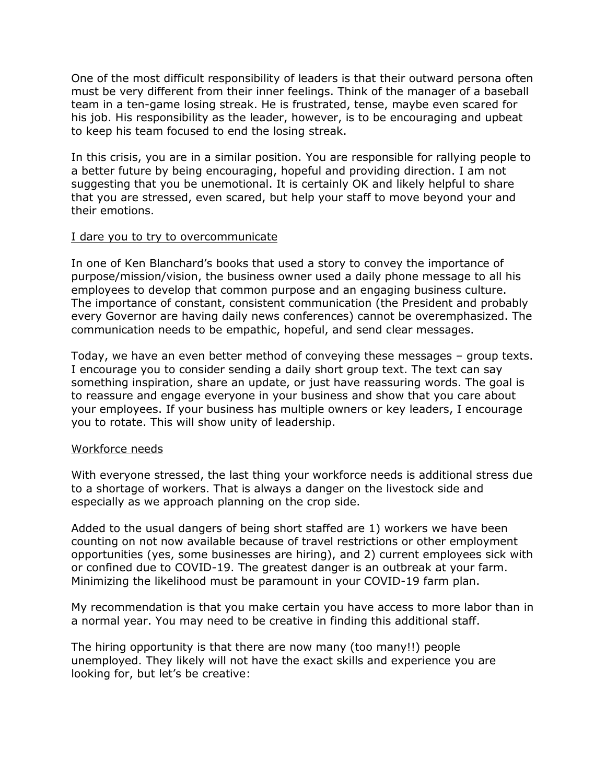One of the most difficult responsibility of leaders is that their outward persona often must be very different from their inner feelings. Think of the manager of a baseball team in a ten-game losing streak. He is frustrated, tense, maybe even scared for his job. His responsibility as the leader, however, is to be encouraging and upbeat to keep his team focused to end the losing streak.

In this crisis, you are in a similar position. You are responsible for rallying people to a better future by being encouraging, hopeful and providing direction. I am not suggesting that you be unemotional. It is certainly OK and likely helpful to share that you are stressed, even scared, but help your staff to move beyond your and their emotions.

#### I dare you to try to overcommunicate

In one of Ken Blanchard's books that used a story to convey the importance of purpose/mission/vision, the business owner used a daily phone message to all his employees to develop that common purpose and an engaging business culture. The importance of constant, consistent communication (the President and probably every Governor are having daily news conferences) cannot be overemphasized. The communication needs to be empathic, hopeful, and send clear messages.

Today, we have an even better method of conveying these messages – group texts. I encourage you to consider sending a daily short group text. The text can say something inspiration, share an update, or just have reassuring words. The goal is to reassure and engage everyone in your business and show that you care about your employees. If your business has multiple owners or key leaders, I encourage you to rotate. This will show unity of leadership.

## Workforce needs

With everyone stressed, the last thing your workforce needs is additional stress due to a shortage of workers. That is always a danger on the livestock side and especially as we approach planning on the crop side.

Added to the usual dangers of being short staffed are 1) workers we have been counting on not now available because of travel restrictions or other employment opportunities (yes, some businesses are hiring), and 2) current employees sick with or confined due to COVID-19. The greatest danger is an outbreak at your farm. Minimizing the likelihood must be paramount in your COVID-19 farm plan.

My recommendation is that you make certain you have access to more labor than in a normal year. You may need to be creative in finding this additional staff.

The hiring opportunity is that there are now many (too many!!) people unemployed. They likely will not have the exact skills and experience you are looking for, but let's be creative: